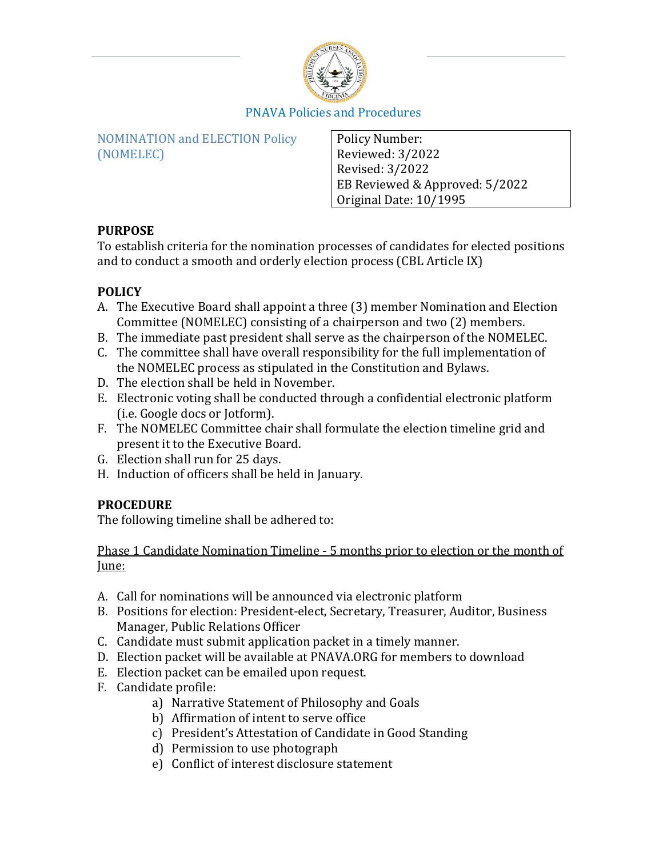

NOMINATION and ELECTION Policy (NOMELEC)

Policy Number: Reviewed: 3/2022 Revised: 3/2022 EB Reviewed & Approved: 5/2022 Original Date: 10/1995

## **PURPOSE**

To establish criteria for the nomination processes of candidates for elected positions and to conduct a smooth and orderly election process (CBL Article IX)

## **POLICY**

- A. The Executive Board shall appoint a three (3) member Nomination and Election Committee (NOMELEC) consisting of a chairperson and two (2) members.
- B. The immediate past president shall serve as the chairperson of the NOMELEC.
- C. The committee shall have overall responsibility for the full implementation of the NOMELEC process as stipulated in the Constitution and Bylaws.
- D. The election shall be held in November.
- E. Electronic voting shall be conducted through a confidential electronic platform (i.e. Google docs or Jotform).
- F. The NOMELEC Committee chair shall formulate the election timeline grid and present it to the Executive Board.
- G. Election shall run for 25 days.
- H. Induction of officers shall be held in January.

## **PROCEDURE**

The following timeline shall be adhered to:

Phase 1 Candidate Nomination Timeline - 5 months prior to election or the month of June:

- A. Call for nominations will be announced via electronic platform
- B. Positions for election: President-elect, Secretary, Treasurer, Auditor, Business Manager, Public Relations Officer
- C. Candidate must submit application packet in a timely manner.
- D. Election packet will be available at PNAVA.ORG for members to download
- E. Election packet can be emailed upon request.
- F. Candidate profile:
	- a) Narrative Statement of Philosophy and Goals
	- b) Affirmation of intent to serve office
	- c) President's Attestation of Candidate in Good Standing
	- d) Permission to use photograph
	- e) Conflict of interest disclosure statement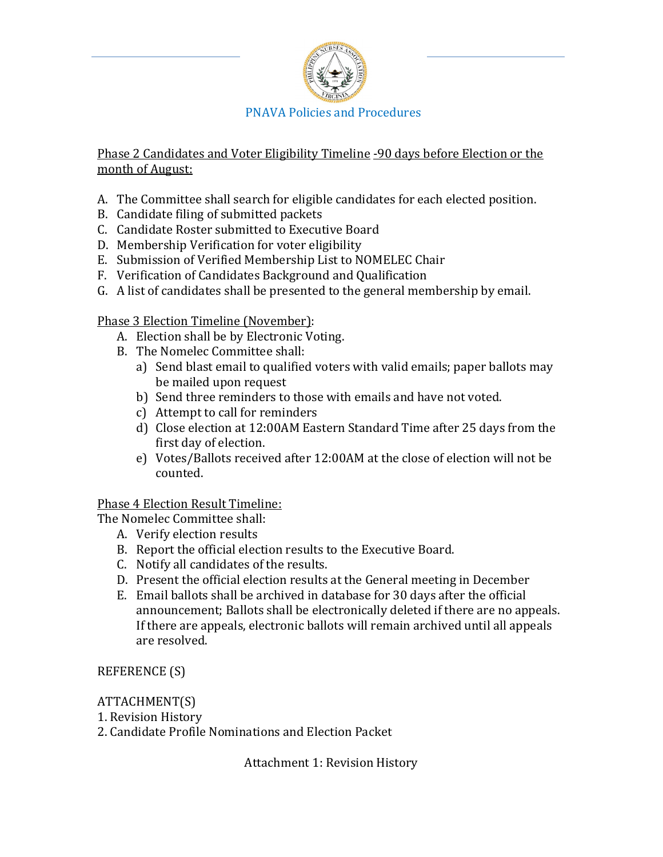

Phase 2 Candidates and Voter Eligibility Timeline -90 days before Election or the month of August:

- A. The Committee shall search for eligible candidates for each elected position.
- B. Candidate filing of submitted packets
- C. Candidate Roster submitted to Executive Board
- D. Membership Verification for voter eligibility
- E. Submission of Verified Membership List to NOMELEC Chair
- F. Verification of Candidates Background and Qualification
- G. A list of candidates shall be presented to the general membership by email.

Phase 3 Election Timeline (November):

- A. Election shall be by Electronic Voting.
- B. The Nomelec Committee shall:
	- a) Send blast email to qualified voters with valid emails; paper ballots may be mailed upon request
	- b) Send three reminders to those with emails and have not voted.
	- c) Attempt to call for reminders
	- d) Close election at 12:00AM Eastern Standard Time after 25 days from the first day of election.
	- e) Votes/Ballots received after 12:00AM at the close of election will not be counted.

### Phase 4 Election Result Timeline:

The Nomelec Committee shall:

- A. Verify election results
- B. Report the official election results to the Executive Board.
- C. Notify all candidates of the results.
- D. Present the official election results at the General meeting in December
- E. Email ballots shall be archived in database for 30 days after the official announcement; Ballots shall be electronically deleted if there are no appeals. If there are appeals, electronic ballots will remain archived until all appeals are resolved.

REFERENCE (S)

### ATTACHMENT(S)

1. Revision History

2. Candidate Profile Nominations and Election Packet

Attachment 1: Revision History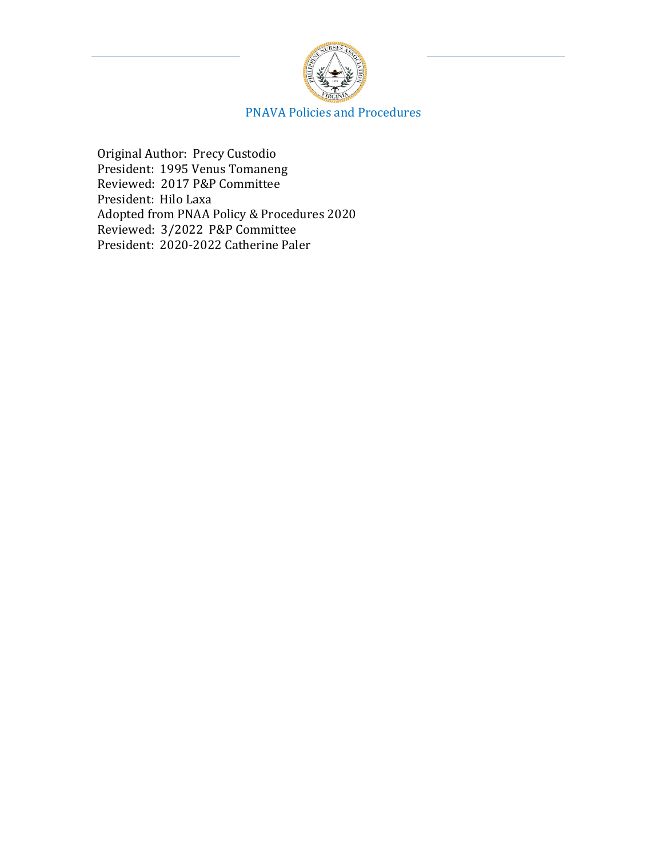

Original Author: Precy Custodio President: 1995 Venus Tomaneng Reviewed: 2017 P&P Committee President: Hilo Laxa Adopted from PNAA Policy & Procedures 2020 Reviewed: 3/2022 P&P Committee President: 2020-2022 Catherine Paler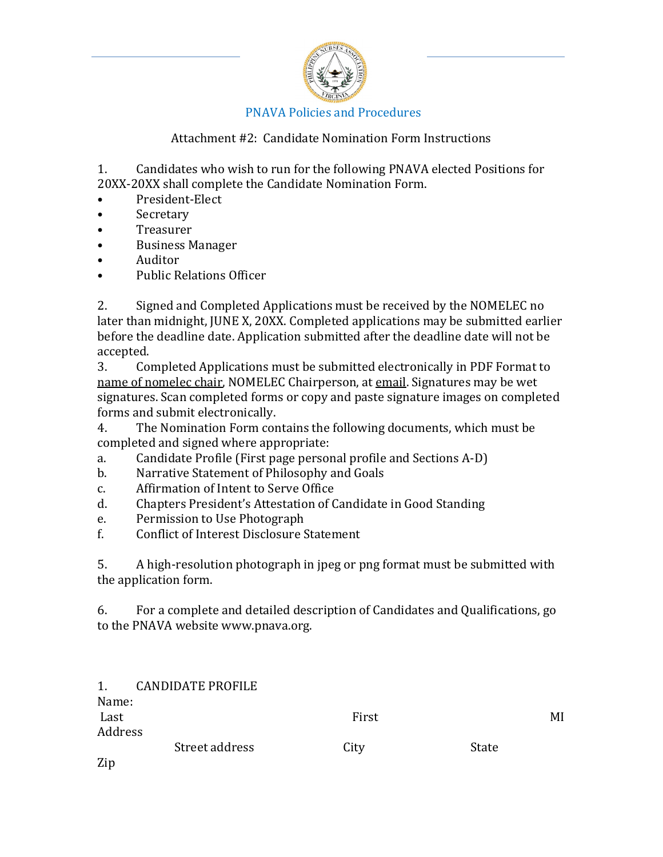

## Attachment #2: Candidate Nomination Form Instructions

1. Candidates who wish to run for the following PNAVA elected Positions for 20XX-20XX shall complete the Candidate Nomination Form.

- President-Elect
- **Secretary**
- **Treasurer**
- Business Manager<br>• Auditor
- Auditor
- Public Relations Officer

2. Signed and Completed Applications must be received by the NOMELEC no later than midnight, JUNE X, 20XX. Completed applications may be submitted earlier before the deadline date. Application submitted after the deadline date will not be accepted.<br>3. Co.

3. Completed Applications must be submitted electronically in PDF Format to name of nomelec chair, NOMELEC Chairperson, at email. Signatures may be wet signatures. Scan completed forms or copy and paste signature images on completed forms and submit electronically.<br>4. The Nomination Form con

The Nomination Form contains the following documents, which must be completed and signed where appropriate:<br>a. Candidate Profile (First page persor

- a. Candidate Profile (First page personal profile and Sections A-D)<br>b. Narrative Statement of Philosophy and Goals
- b. Narrative Statement of Philosophy and Goals<br>c. Affirmation of Intent to Serve Office
- c. Affirmation of Intent to Serve Office<br>d. Chapters President's Attestation of C
- d. Chapters President's Attestation of Candidate in Good Standing
- e. Permission to Use Photograph<br>f. Conflict of Interest Disclosure S
- Conflict of Interest Disclosure Statement

5. A high-resolution photograph in jpeg or png format must be submitted with the application form.

6. For a complete and detailed description of Candidates and Qualifications, go to the PNAVA website www.pnava.org.

| 1.      | <b>CANDIDATE PROFILE</b> |       |       |    |
|---------|--------------------------|-------|-------|----|
| Name:   |                          |       |       |    |
| Last    |                          | First |       | MI |
| Address |                          |       |       |    |
|         | Street address           | City  | State |    |
|         |                          |       |       |    |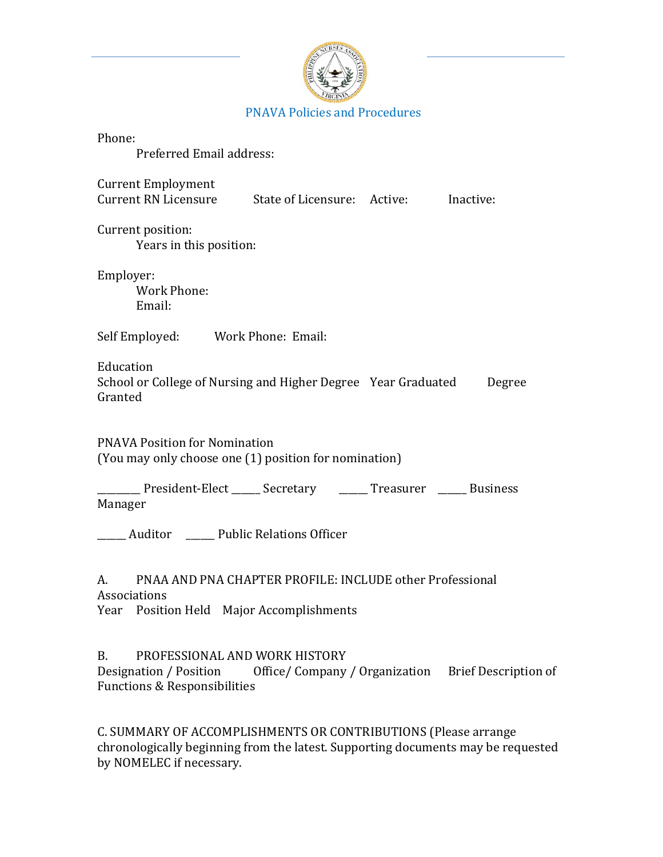

| Phone:<br>Preferred Email address:                                                                                                                                  |
|---------------------------------------------------------------------------------------------------------------------------------------------------------------------|
| <b>Current Employment</b><br>Current RN Licensure State of Licensure: Active: Inactive:                                                                             |
| Current position:<br>Years in this position:                                                                                                                        |
| Employer:<br><b>Work Phone:</b><br>Email:                                                                                                                           |
| Self Employed: Work Phone: Email:                                                                                                                                   |
| Education<br>School or College of Nursing and Higher Degree Year Graduated<br>Degree<br>Granted                                                                     |
| <b>PNAVA Position for Nomination</b><br>(You may only choose one (1) position for nomination)                                                                       |
| _________ President-Elect ______ Secretary _______ Treasurer ______ Business<br>Manager                                                                             |
| _____ Auditor ______ Public Relations Officer                                                                                                                       |
| A. PNAA AND PNA CHAPTER PROFILE: INCLUDE other Professional<br>Associations<br>Year Position Held Major Accomplishments                                             |
| <b>B.</b><br>PROFESSIONAL AND WORK HISTORY<br>Designation / Position Office/ Company / Organization Brief Description of<br><b>Functions &amp; Responsibilities</b> |

C. SUMMARY OF ACCOMPLISHMENTS OR CONTRIBUTIONS (Please arrange chronologically beginning from the latest. Supporting documents may be requested by NOMELEC if necessary.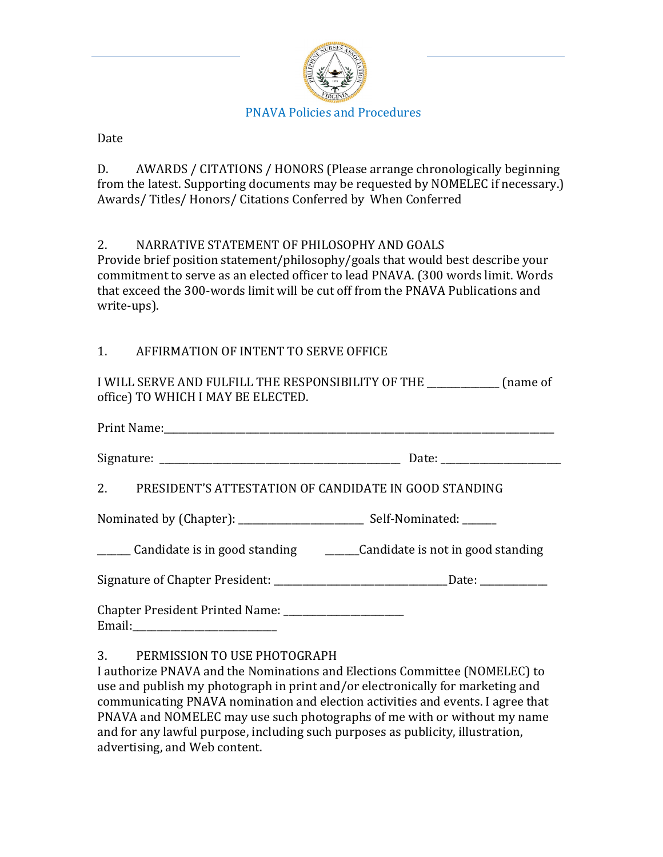

### Date

D. AWARDS / CITATIONS / HONORS (Please arrange chronologically beginning from the latest. Supporting documents may be requested by NOMELEC if necessary.) Awards/ Titles/ Honors/ Citations Conferred by When Conferred

## 2. NARRATIVE STATEMENT OF PHILOSOPHY AND GOALS

Provide brief position statement/philosophy/goals that would best describe your commitment to serve as an elected officer to lead PNAVA. (300 words limit. Words that exceed the 300-words limit will be cut off from the PNAVA Publications and write-ups).

## 1. AFFIRMATION OF INTENT TO SERVE OFFICE

I WILL SERVE AND FULFILL THE RESPONSIBILITY OF THE  $\qquad \qquad$  (name of office) TO WHICH I MAY BE ELECTED.

| 2. PRESIDENT'S ATTESTATION OF CANDIDATE IN GOOD STANDING         |                                                                                         |  |  |
|------------------------------------------------------------------|-----------------------------------------------------------------------------------------|--|--|
|                                                                  |                                                                                         |  |  |
|                                                                  | ______ Candidate is in good standing _________Candidate is not in good standing         |  |  |
|                                                                  | Signature of Chapter President: ___________________________________Date: ______________ |  |  |
| Chapter President Printed Name: ______________________<br>Email: |                                                                                         |  |  |

### 3. PERMISSION TO USE PHOTOGRAPH

I authorize PNAVA and the Nominations and Elections Committee (NOMELEC) to use and publish my photograph in print and/or electronically for marketing and communicating PNAVA nomination and election activities and events. I agree that PNAVA and NOMELEC may use such photographs of me with or without my name and for any lawful purpose, including such purposes as publicity, illustration, advertising, and Web content.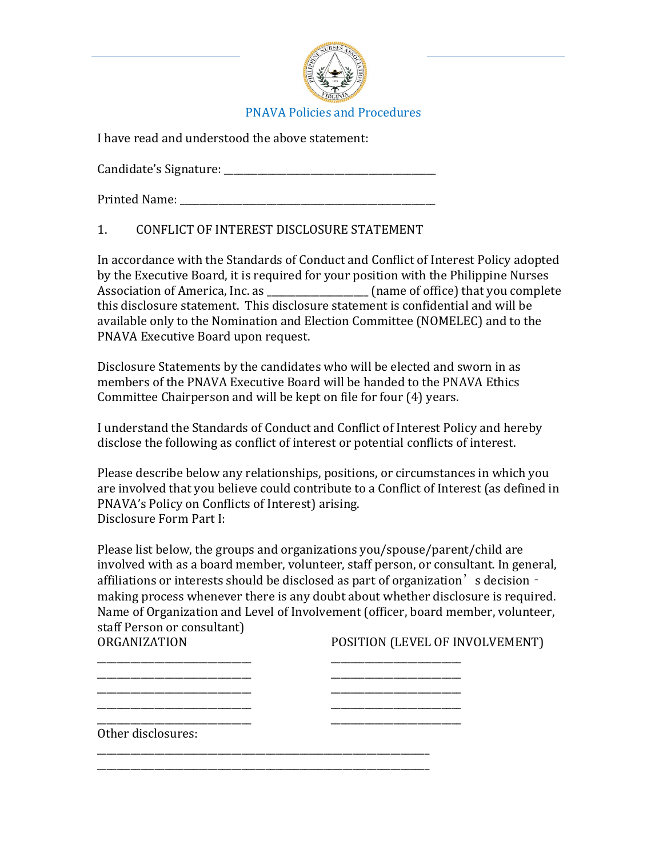

I have read and understood the above statement:

Candidate's Signature: \_\_\_\_\_\_\_\_\_\_\_\_\_\_\_\_\_\_\_\_\_\_\_\_\_\_\_\_\_\_\_\_\_\_\_\_\_\_\_\_\_\_\_\_

Printed Name: \_\_\_\_\_\_\_\_\_\_\_\_\_\_\_\_\_\_\_\_\_\_\_\_\_\_\_\_\_\_\_\_\_\_\_\_\_\_\_\_\_\_\_\_\_\_\_\_\_\_\_\_\_

## 1. CONFLICT OF INTEREST DISCLOSURE STATEMENT

In accordance with the Standards of Conduct and Conflict of Interest Policy adopted by the Executive Board, it is required for your position with the Philippine Nurses Association of America, Inc. as \_\_\_\_\_\_\_\_\_\_\_\_\_\_\_\_\_\_\_\_\_ (name of office) that you complete this disclosure statement. This disclosure statement is confidential and will be available only to the Nomination and Election Committee (NOMELEC) and to the PNAVA Executive Board upon request.

Disclosure Statements by the candidates who will be elected and sworn in as members of the PNAVA Executive Board will be handed to the PNAVA Ethics Committee Chairperson and will be kept on file for four (4) years.

I understand the Standards of Conduct and Conflict of Interest Policy and hereby disclose the following as conflict of interest or potential conflicts of interest.

Please describe below any relationships, positions, or circumstances in which you are involved that you believe could contribute to a Conflict of Interest (as defined in PNAVA's Policy on Conflicts of Interest) arising. Disclosure Form Part I:

Please list below, the groups and organizations you/spouse/parent/child are involved with as a board member, volunteer, staff person, or consultant. In general, affiliations or interests should be disclosed as part of organization's decision making process whenever there is any doubt about whether disclosure is required. Name of Organization and Level of Involvement (officer, board member, volunteer, staff Person or consultant)<br>ORGANIZATION

\_\_\_\_\_\_\_\_\_\_\_\_\_\_\_\_\_\_\_\_\_\_\_\_\_\_\_\_\_\_\_\_ \_\_\_\_\_\_\_\_\_\_\_\_\_\_\_\_\_\_\_\_\_\_\_\_\_\_\_ \_\_\_\_\_\_\_\_\_\_\_\_\_\_\_\_\_\_\_\_\_\_\_\_\_\_\_\_\_\_\_\_ \_\_\_\_\_\_\_\_\_\_\_\_\_\_\_\_\_\_\_\_\_\_\_\_\_\_\_ \_\_\_\_\_\_\_\_\_\_\_\_\_\_\_\_\_\_\_\_\_\_\_\_\_\_\_\_\_\_\_\_ \_\_\_\_\_\_\_\_\_\_\_\_\_\_\_\_\_\_\_\_\_\_\_\_\_\_\_ \_\_\_\_\_\_\_\_\_\_\_\_\_\_\_\_\_\_\_\_\_\_\_\_\_\_\_\_\_\_\_\_ \_\_\_\_\_\_\_\_\_\_\_\_\_\_\_\_\_\_\_\_\_\_\_\_\_\_\_

POSITION (LEVEL OF INVOLVEMENT)

\_\_\_\_\_\_\_\_\_\_\_\_\_\_\_\_\_\_\_\_\_\_\_\_\_\_\_\_\_\_\_\_ \_\_\_\_\_\_\_\_\_\_\_\_\_\_\_\_\_\_\_\_\_\_\_\_\_\_\_ Other disclosures:

\_\_\_\_\_\_\_\_\_\_\_\_\_\_\_\_\_\_\_\_\_\_\_\_\_\_\_\_\_\_\_\_\_\_\_\_\_\_\_\_\_\_\_\_\_\_\_\_\_\_\_\_\_\_\_\_\_\_\_\_\_\_\_\_\_\_\_\_\_ \_\_\_\_\_\_\_\_\_\_\_\_\_\_\_\_\_\_\_\_\_\_\_\_\_\_\_\_\_\_\_\_\_\_\_\_\_\_\_\_\_\_\_\_\_\_\_\_\_\_\_\_\_\_\_\_\_\_\_\_\_\_\_\_\_\_\_\_\_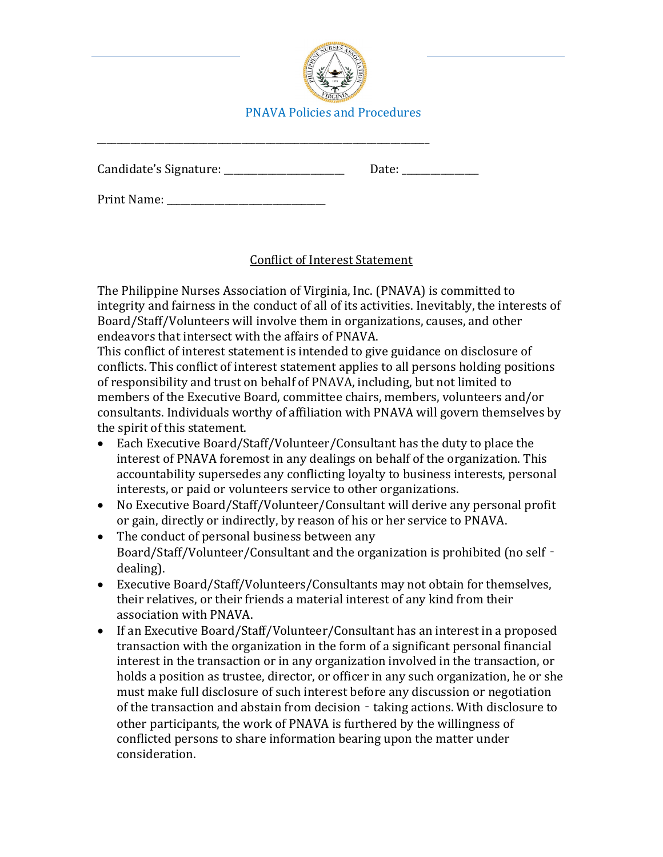

Candidate's Signature: \_\_\_\_\_\_\_\_\_\_\_\_\_\_\_\_\_\_\_\_\_\_\_\_\_ Date: \_\_\_\_\_\_\_\_\_\_\_\_\_\_\_\_

Print Name:

\_\_\_\_\_\_\_\_\_\_\_\_\_\_\_\_\_\_\_\_\_\_\_\_\_\_\_\_\_\_\_\_\_\_\_\_\_\_\_\_\_\_\_\_\_\_\_\_\_\_\_\_\_\_\_\_\_\_\_\_\_\_\_\_\_\_\_\_\_

# Conflict of Interest Statement

The Philippine Nurses Association of Virginia, Inc. (PNAVA) is committed to integrity and fairness in the conduct of all of its activities. Inevitably, the interests of Board/Staff/Volunteers will involve them in organizations, causes, and other endeavors that intersect with the affairs of PNAVA.

This conflict of interest statement is intended to give guidance on disclosure of conflicts. This conflict of interest statement applies to all persons holding positions of responsibility and trust on behalf of PNAVA, including, but not limited to members of the Executive Board, committee chairs, members, volunteers and/or consultants. Individuals worthy of affiliation with PNAVA will govern themselves by the spirit of this statement.

- Each Executive Board/Staff/Volunteer/Consultant has the duty to place the interest of PNAVA foremost in any dealings on behalf of the organization. This accountability supersedes any conflicting loyalty to business interests, personal interests, or paid or volunteers service to other organizations.
- No Executive Board/Staff/Volunteer/Consultant will derive any personal profit or gain, directly or indirectly, by reason of his or her service to PNAVA.
- The conduct of personal business between any Board/Staff/Volunteer/Consultant and the organization is prohibited (no self dealing).
- Executive Board/Staff/Volunteers/Consultants may not obtain for themselves, their relatives, or their friends a material interest of any kind from their association with PNAVA.
- If an Executive Board/Staff/Volunteer/Consultant has an interest in a proposed transaction with the organization in the form of a significant personal financial interest in the transaction or in any organization involved in the transaction, or holds a position as trustee, director, or officer in any such organization, he or she must make full disclosure of such interest before any discussion or negotiation of the transaction and abstain from decision - taking actions. With disclosure to other participants, the work of PNAVA is furthered by the willingness of conflicted persons to share information bearing upon the matter under consideration.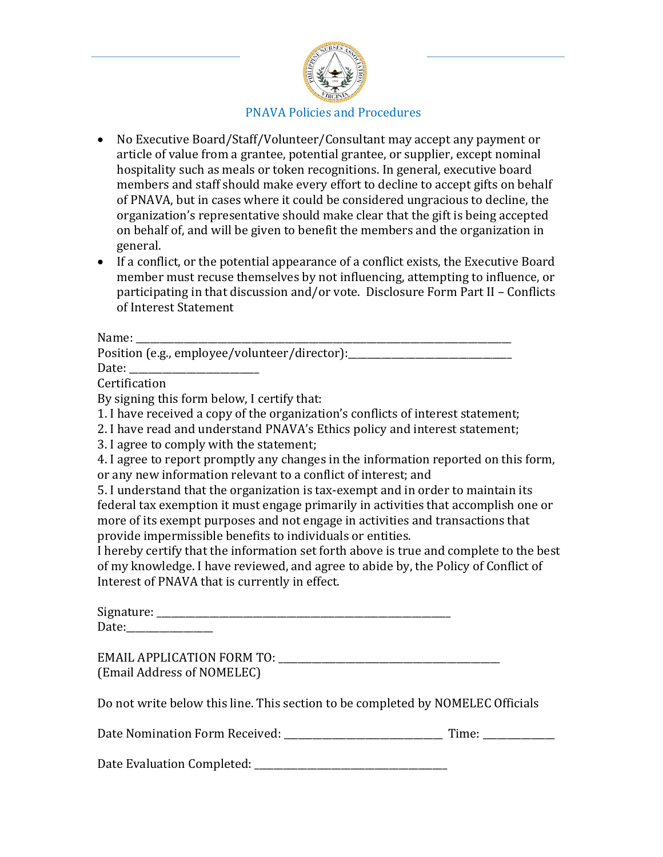

- No Executive Board/Staff/Volunteer/Consultant may accept any payment or article of value from a grantee, potential grantee, or supplier, except nominal hospitality such as meals or token recognitions. In general, executive board members and staff should make every effort to decline to accept gifts on behalf of PNAVA, but in cases where it could be considered ungracious to decline, the organization's representative should make clear that the gift is being accepted on behalf of, and will be given to benefit the members and the organization in general.
- If a conflict, or the potential appearance of a conflict exists, the Executive Board member must recuse themselves by not influencing, attempting to influence, or participating in that discussion and/or vote. Disclosure Form Part II – Conflicts of Interest Statement

Name: \_\_\_\_\_\_\_\_\_\_\_\_\_\_\_\_\_\_\_\_\_\_\_\_\_\_\_\_\_\_\_\_\_\_\_\_\_\_\_\_\_\_\_\_\_\_\_\_\_\_\_\_\_\_\_\_\_\_\_\_\_\_\_\_\_\_\_\_\_\_\_\_\_\_\_\_\_\_ Position (e.g., employee/volunteer/director):\_\_\_\_\_\_\_\_\_\_\_\_\_\_\_\_\_\_\_\_\_\_\_\_\_\_\_\_\_\_\_\_\_\_

Date: \_\_\_\_\_\_\_\_\_\_\_\_\_\_\_\_\_\_\_\_\_\_\_\_\_\_\_

Certification

By signing this form below, I certify that:

- 1. I have received a copy of the organization's conflicts of interest statement;
- 2. I have read and understand PNAVA's Ethics policy and interest statement;
- 3. I agree to comply with the statement;

4. I agree to report promptly any changes in the information reported on this form, or any new information relevant to a conflict of interest; and

5. I understand that the organization is tax-exempt and in order to maintain its federal tax exemption it must engage primarily in activities that accomplish one or more of its exempt purposes and not engage in activities and transactions that provide impermissible benefits to individuals or entities.

I hereby certify that the information set forth above is true and complete to the best of my knowledge. I have reviewed, and agree to abide by, the Policy of Conflict of Interest of PNAVA that is currently in effect.

| Signature: |  |  |  |
|------------|--|--|--|
| Date:      |  |  |  |

EMAIL APPLICATION FORM TO: (Email Address of NOMELEC)

Do not write below this line. This section to be completed by NOMELEC Officials

Date Nomination Form Received: Time:

| Date Evaluation Completed: |  |
|----------------------------|--|
|----------------------------|--|